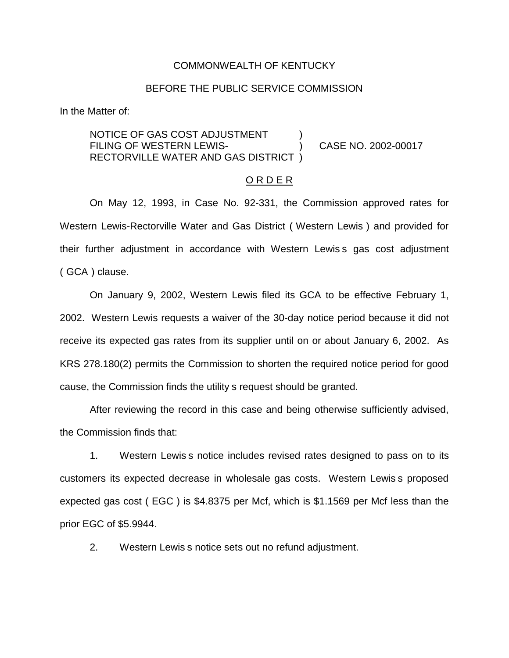#### COMMONWEALTH OF KENTUCKY

#### BEFORE THE PUBLIC SERVICE COMMISSION

In the Matter of:

NOTICE OF GAS COST ADJUSTMENT FILING OF WESTERN LEWIS(2002-00017) RECTORVILLE WATER AND GAS DISTRICT )

#### O R D E R

On May 12, 1993, in Case No. 92-331, the Commission approved rates for Western Lewis-Rectorville Water and Gas District ( Western Lewis ) and provided for their further adjustment in accordance with Western Lewis s gas cost adjustment ( GCA ) clause.

On January 9, 2002, Western Lewis filed its GCA to be effective February 1, 2002. Western Lewis requests a waiver of the 30-day notice period because it did not receive its expected gas rates from its supplier until on or about January 6, 2002. As KRS 278.180(2) permits the Commission to shorten the required notice period for good cause, the Commission finds the utility s request should be granted.

After reviewing the record in this case and being otherwise sufficiently advised, the Commission finds that:

1. Western Lewis s notice includes revised rates designed to pass on to its customers its expected decrease in wholesale gas costs. Western Lewis s proposed expected gas cost ( EGC ) is \$4.8375 per Mcf, which is \$1.1569 per Mcf less than the prior EGC of \$5.9944.

2. Western Lewis s notice sets out no refund adjustment.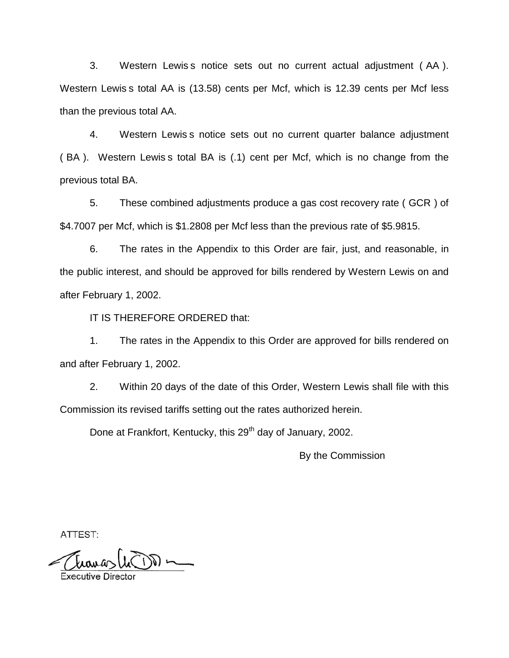3. Western Lewis s notice sets out no current actual adjustment ( AA ). Western Lewis s total AA is (13.58) cents per Mcf, which is 12.39 cents per Mcf less than the previous total AA.

4. Western Lewis s notice sets out no current quarter balance adjustment ( BA ). Western Lewis s total BA is (.1) cent per Mcf, which is no change from the previous total BA.

5. These combined adjustments produce a gas cost recovery rate ( GCR ) of \$4.7007 per Mcf, which is \$1.2808 per Mcf less than the previous rate of \$5.9815.

6. The rates in the Appendix to this Order are fair, just, and reasonable, in the public interest, and should be approved for bills rendered by Western Lewis on and after February 1, 2002.

IT IS THEREFORE ORDERED that:

1. The rates in the Appendix to this Order are approved for bills rendered on and after February 1, 2002.

2. Within 20 days of the date of this Order, Western Lewis shall file with this Commission its revised tariffs setting out the rates authorized herein.

Done at Frankfort, Kentucky, this 29<sup>th</sup> day of January, 2002.

By the Commission

ATTEST: